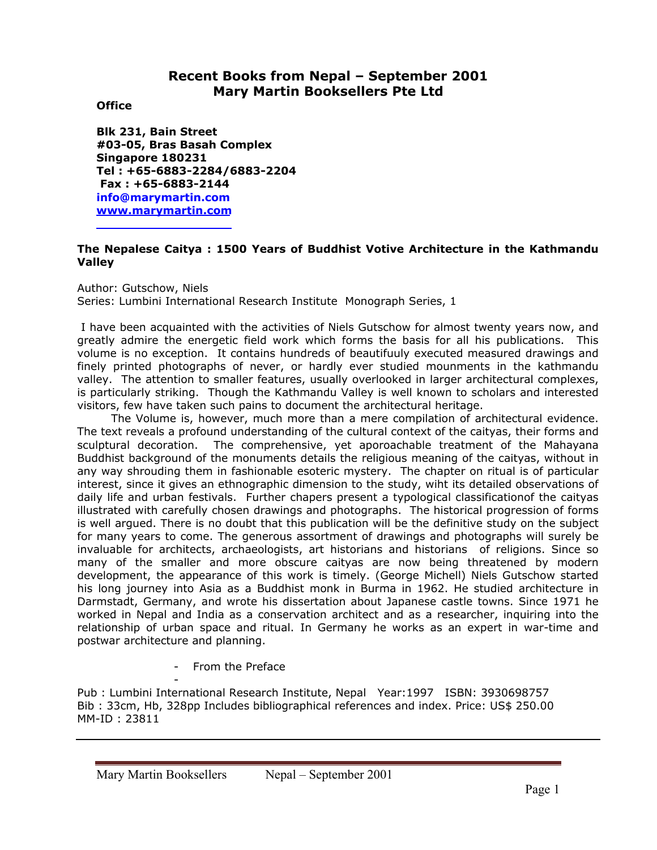# **Recent Books from Nepal – September 2001 Mary Martin Booksellers Pte Ltd**

## **Office**

**Blk 231, Bain Street #03-05, Bras Basah Complex Singapore 180231 Tel : +65-6883-2284/6883-2204 Fax : +65-6883-2144 info@marymartin.com www.marymartin.com**

# **The Nepalese Caitya : 1500 Years of Buddhist Votive Architecture in the Kathmandu Valley**

Author: Gutschow, Niels

Series: Lumbini International Research Institute Monograph Series, 1

 I have been acquainted with the activities of Niels Gutschow for almost twenty years now, and greatly admire the energetic field work which forms the basis for all his publications. This volume is no exception. It contains hundreds of beautifuuly executed measured drawings and finely printed photographs of never, or hardly ever studied mounments in the kathmandu valley. The attention to smaller features, usually overlooked in larger architectural complexes, is particularly striking. Though the Kathmandu Valley is well known to scholars and interested visitors, few have taken such pains to document the architectural heritage.

 The Volume is, however, much more than a mere compilation of architectural evidence. The text reveals a profound understanding of the cultural context of the caityas, their forms and sculptural decoration. The comprehensive, yet aporoachable treatment of the Mahayana Buddhist background of the monuments details the religious meaning of the caityas, without in any way shrouding them in fashionable esoteric mystery. The chapter on ritual is of particular interest, since it gives an ethnographic dimension to the study, wiht its detailed observations of daily life and urban festivals. Further chapers present a typological classificationof the caityas illustrated with carefully chosen drawings and photographs. The historical progression of forms is well argued. There is no doubt that this publication will be the definitive study on the subject for many years to come. The generous assortment of drawings and photographs will surely be invaluable for architects, archaeologists, art historians and historians of religions. Since so many of the smaller and more obscure caityas are now being threatened by modern development, the appearance of this work is timely. (George Michell) Niels Gutschow started his long journey into Asia as a Buddhist monk in Burma in 1962. He studied architecture in Darmstadt, Germany, and wrote his dissertation about Japanese castle towns. Since 1971 he worked in Nepal and India as a conservation architect and as a researcher, inquiring into the relationship of urban space and ritual. In Germany he works as an expert in war-time and postwar architecture and planning.

- From the Preface

- Pub : Lumbini International Research Institute, Nepal Year:1997 ISBN: 3930698757 Bib : 33cm, Hb, 328pp Includes bibliographical references and index. Price: US\$ 250.00 MM-ID : 23811

Mary Martin Booksellers Nepal – September 2001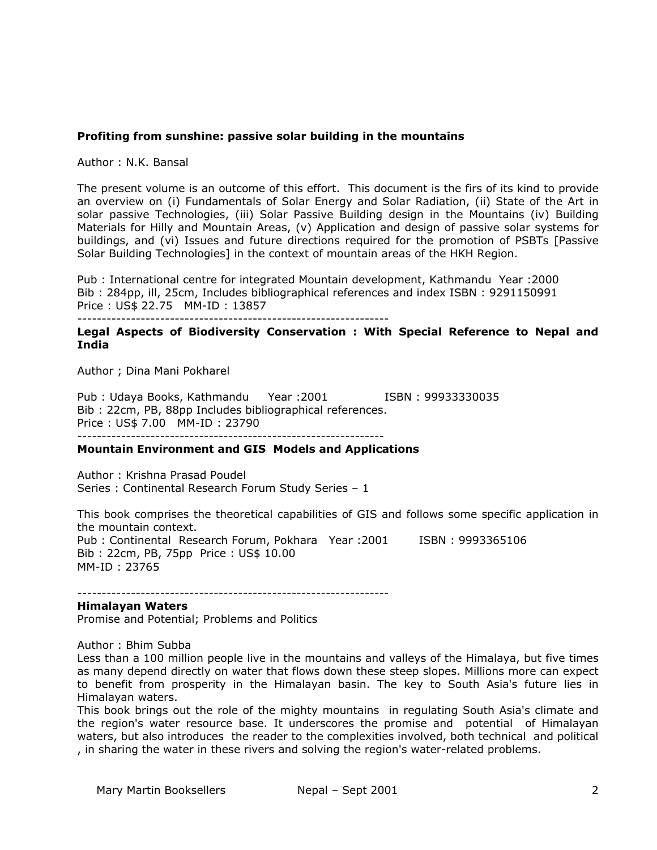## **Profiting from sunshine: passive solar building in the mountains**

Author : N.K. Bansal

The present volume is an outcome of this effort. This document is the firs of its kind to provide an overview on (i) Fundamentals of Solar Energy and Solar Radiation, (ii) State of the Art in solar passive Technologies, (iii) Solar Passive Building design in the Mountains (iv) Building Materials for Hilly and Mountain Areas, (v) Application and design of passive solar systems for buildings, and (vi) Issues and future directions required for the promotion of PSBTs [Passive Solar Building Technologies] in the context of mountain areas of the HKH Region.

Pub : International centre for integrated Mountain development, Kathmandu Year :2000 Bib : 284pp, ill, 25cm, Includes bibliographical references and index ISBN : 9291150991 Price : US\$ 22.75 MM-ID : 13857

----------------------------------------------------------------

### **Legal Aspects of Biodiversity Conservation : With Special Reference to Nepal and India**

Author ; Dina Mani Pokharel

Pub : Udaya Books, Kathmandu Year : 2001 [SBN : 99933330035] Bib : 22cm, PB, 88pp Includes bibliographical references. Price : US\$ 7.00 MM-ID : 23790 ---------------------------------------------------------------

#### **Mountain Environment and GIS Models and Applications**

Author : Krishna Prasad Poudel Series : Continental Research Forum Study Series – 1

This book comprises the theoretical capabilities of GIS and follows some specific application in the mountain context. Pub : Continental Research Forum, Pokhara Year :2001 ISBN : 9993365106 Bib : 22cm, PB, 75pp Price : US\$ 10.00 MM-ID : 23765

----------------------------------------------------------------

**Himalayan Waters** 

Promise and Potential; Problems and Politics

Author : Bhim Subba

Less than a 100 million people live in the mountains and valleys of the Himalaya, but five times as many depend directly on water that flows down these steep slopes. Millions more can expect to benefit from prosperity in the Himalayan basin. The key to South Asia's future lies in Himalayan waters.

This book brings out the role of the mighty mountains in regulating South Asia's climate and the region's water resource base. It underscores the promise and potential of Himalayan waters, but also introduces the reader to the complexities involved, both technical and political , in sharing the water in these rivers and solving the region's water-related problems.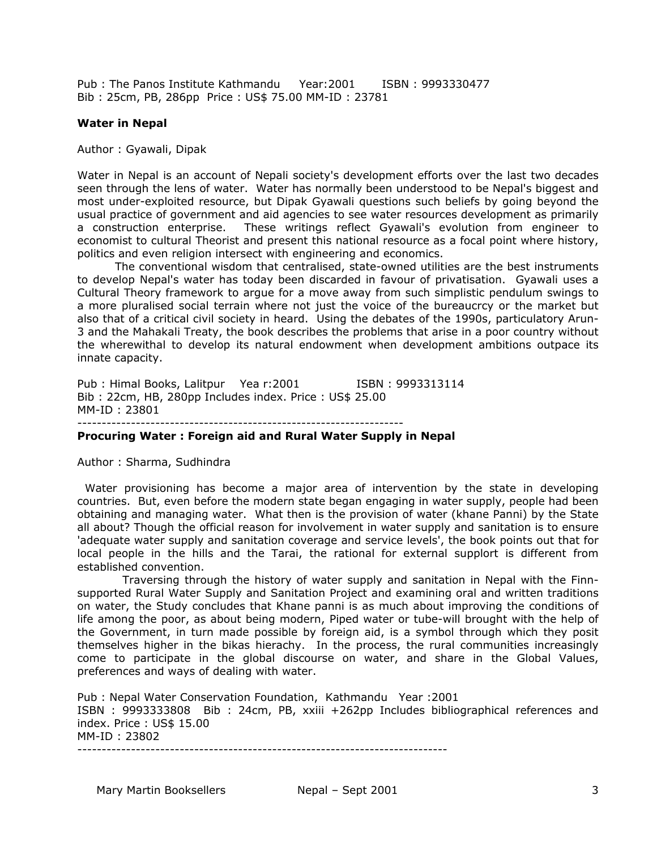Pub : The Panos Institute Kathmandu Year:2001 ISBN : 9993330477 Bib : 25cm, PB, 286pp Price : US\$ 75.00 MM-ID : 23781

#### **Water in Nepal**

Author : Gyawali, Dipak

Water in Nepal is an account of Nepali society's development efforts over the last two decades seen through the lens of water. Water has normally been understood to be Nepal's biggest and most under-exploited resource, but Dipak Gyawali questions such beliefs by going beyond the usual practice of government and aid agencies to see water resources development as primarily a construction enterprise. These writings reflect Gyawali's evolution from engineer to economist to cultural Theorist and present this national resource as a focal point where history, politics and even religion intersect with engineering and economics.

 The conventional wisdom that centralised, state-owned utilities are the best instruments to develop Nepal's water has today been discarded in favour of privatisation. Gyawali uses a Cultural Theory framework to argue for a move away from such simplistic pendulum swings to a more pluralised social terrain where not just the voice of the bureaucrcy or the market but also that of a critical civil society in heard. Using the debates of the 1990s, particulatory Arun-3 and the Mahakali Treaty, the book describes the problems that arise in a poor country without the wherewithal to develop its natural endowment when development ambitions outpace its innate capacity.

Pub : Himal Books, Lalitpur Yea r:2001 ISBN : 9993313114 Bib : 22cm, HB, 280pp Includes index. Price : US\$ 25.00 MM-ID : 23801 -------------------------------------------------------------------

#### **Procuring Water : Foreign aid and Rural Water Supply in Nepal**

Author : Sharma, Sudhindra

 Water provisioning has become a major area of intervention by the state in developing countries. But, even before the modern state began engaging in water supply, people had been obtaining and managing water. What then is the provision of water (khane Panni) by the State all about? Though the official reason for involvement in water supply and sanitation is to ensure 'adequate water supply and sanitation coverage and service levels', the book points out that for local people in the hills and the Tarai, the rational for external supplort is different from established convention.

 Traversing through the history of water supply and sanitation in Nepal with the Finnsupported Rural Water Supply and Sanitation Project and examining oral and written traditions on water, the Study concludes that Khane panni is as much about improving the conditions of life among the poor, as about being modern, Piped water or tube-will brought with the help of the Government, in turn made possible by foreign aid, is a symbol through which they posit themselves higher in the bikas hierachy. In the process, the rural communities increasingly come to participate in the global discourse on water, and share in the Global Values, preferences and ways of dealing with water.

Pub : Nepal Water Conservation Foundation, Kathmandu Year :2001 ISBN : 9993333808 Bib : 24cm, PB, xxiii +262pp Includes bibliographical references and index. Price : US\$ 15.00 MM-ID : 23802

----------------------------------------------------------------------------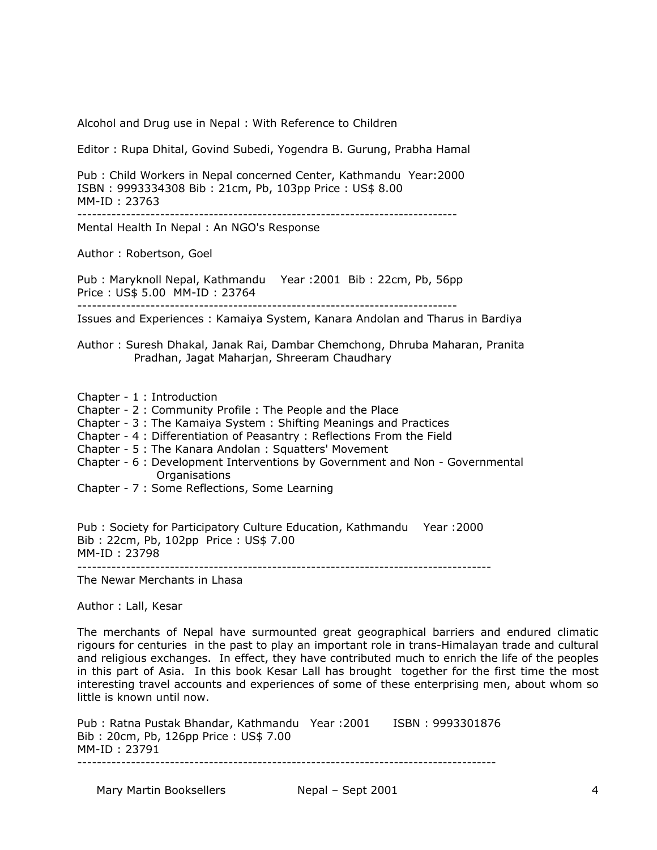Alcohol and Drug use in Nepal : With Reference to Children

Editor : Rupa Dhital, Govind Subedi, Yogendra B. Gurung, Prabha Hamal

Pub : Child Workers in Nepal concerned Center, Kathmandu Year:2000 ISBN : 9993334308 Bib : 21cm, Pb, 103pp Price : US\$ 8.00 MM-ID : 23763

------------------------------------------------------------------------------

Mental Health In Nepal : An NGO's Response

Author : Robertson, Goel

Pub : Maryknoll Nepal, Kathmandu Year :2001 Bib : 22cm, Pb, 56pp Price : US\$ 5.00 MM-ID : 23764

------------------------------------------------------------------------------

Issues and Experiences : Kamaiya System, Kanara Andolan and Tharus in Bardiya

- Author : Suresh Dhakal, Janak Rai, Dambar Chemchong, Dhruba Maharan, Pranita Pradhan, Jagat Maharjan, Shreeram Chaudhary
- Chapter 1 : Introduction
- Chapter 2 : Community Profile : The People and the Place
- Chapter 3 : The Kamaiya System : Shifting Meanings and Practices
- Chapter 4 : Differentiation of Peasantry : Reflections From the Field
- Chapter 5 : The Kanara Andolan : Squatters' Movement
- Chapter 6 : Development Interventions by Government and Non Governmental Organisations
- Chapter 7 : Some Reflections, Some Learning

Pub : Society for Participatory Culture Education, Kathmandu Year :2000 Bib : 22cm, Pb, 102pp Price : US\$ 7.00 MM-ID : 23798 -------------------------------------------------------------------------------------

The Newar Merchants in Lhasa

Author : Lall, Kesar

The merchants of Nepal have surmounted great geographical barriers and endured climatic rigours for centuries in the past to play an important role in trans-Himalayan trade and cultural and religious exchanges. In effect, they have contributed much to enrich the life of the peoples in this part of Asia. In this book Kesar Lall has brought together for the first time the most interesting travel accounts and experiences of some of these enterprising men, about whom so little is known until now.

Pub : Ratna Pustak Bhandar, Kathmandu Year : 2001 ISBN : 9993301876 Bib : 20cm, Pb, 126pp Price : US\$ 7.00 MM-ID : 23791 --------------------------------------------------------------------------------------

Mary Martin Booksellers **Nepal – Sept 2001** and the set of the september of the september of the september of the september of the september of the september of the september of the september of the september of the septem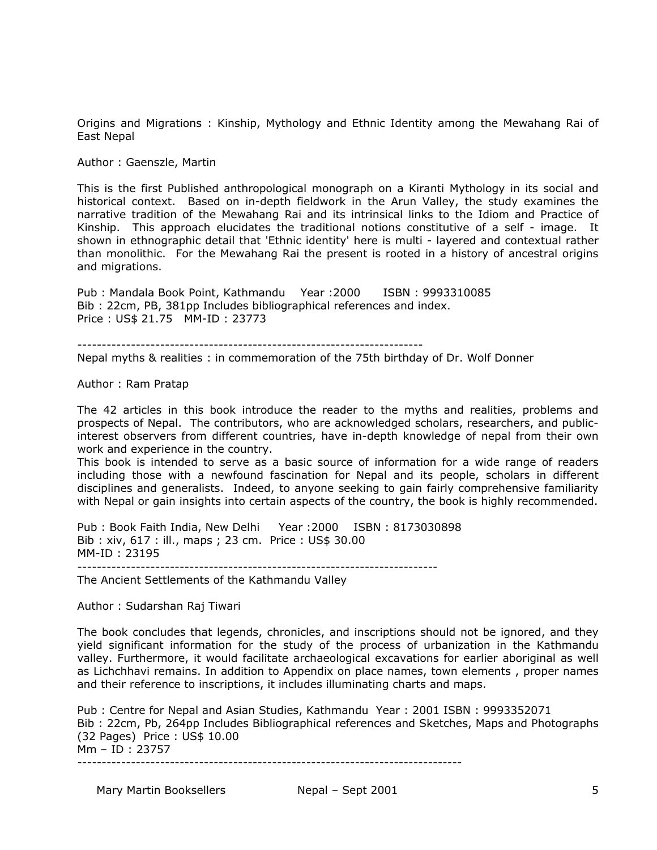Origins and Migrations : Kinship, Mythology and Ethnic Identity among the Mewahang Rai of East Nepal

Author : Gaenszle, Martin

This is the first Published anthropological monograph on a Kiranti Mythology in its social and historical context. Based on in-depth fieldwork in the Arun Valley, the study examines the narrative tradition of the Mewahang Rai and its intrinsical links to the Idiom and Practice of Kinship. This approach elucidates the traditional notions constitutive of a self - image. It shown in ethnographic detail that 'Ethnic identity' here is multi - layered and contextual rather than monolithic. For the Mewahang Rai the present is rooted in a history of ancestral origins and migrations.

Pub : Mandala Book Point, Kathmandu Year :2000 ISBN : 9993310085 Bib : 22cm, PB, 381pp Includes bibliographical references and index. Price : US\$ 21.75 MM-ID : 23773

-----------------------------------------------------------------------

Nepal myths & realities : in commemoration of the 75th birthday of Dr. Wolf Donner

Author : Ram Pratap

The 42 articles in this book introduce the reader to the myths and realities, problems and prospects of Nepal. The contributors, who are acknowledged scholars, researchers, and publicinterest observers from different countries, have in-depth knowledge of nepal from their own work and experience in the country.

This book is intended to serve as a basic source of information for a wide range of readers including those with a newfound fascination for Nepal and its people, scholars in different disciplines and generalists. Indeed, to anyone seeking to gain fairly comprehensive familiarity with Nepal or gain insights into certain aspects of the country, the book is highly recommended.

Pub : Book Faith India, New Delhi Year :2000 ISBN : 8173030898 Bib : xiv, 617 : ill., maps ; 23 cm. Price : US\$ 30.00 MM-ID : 23195

--------------------------------------------------------------------------

The Ancient Settlements of the Kathmandu Valley

Author : Sudarshan Raj Tiwari

The book concludes that legends, chronicles, and inscriptions should not be ignored, and they yield significant information for the study of the process of urbanization in the Kathmandu valley. Furthermore, it would facilitate archaeological excavations for earlier aboriginal as well as Lichchhavi remains. In addition to Appendix on place names, town elements , proper names and their reference to inscriptions, it includes illuminating charts and maps.

Pub : Centre for Nepal and Asian Studies, Kathmandu Year : 2001 ISBN : 9993352071 Bib : 22cm, Pb, 264pp Includes Bibliographical references and Sketches, Maps and Photographs (32 Pages) Price : US\$ 10.00 Mm – ID : 23757 -------------------------------------------------------------------------------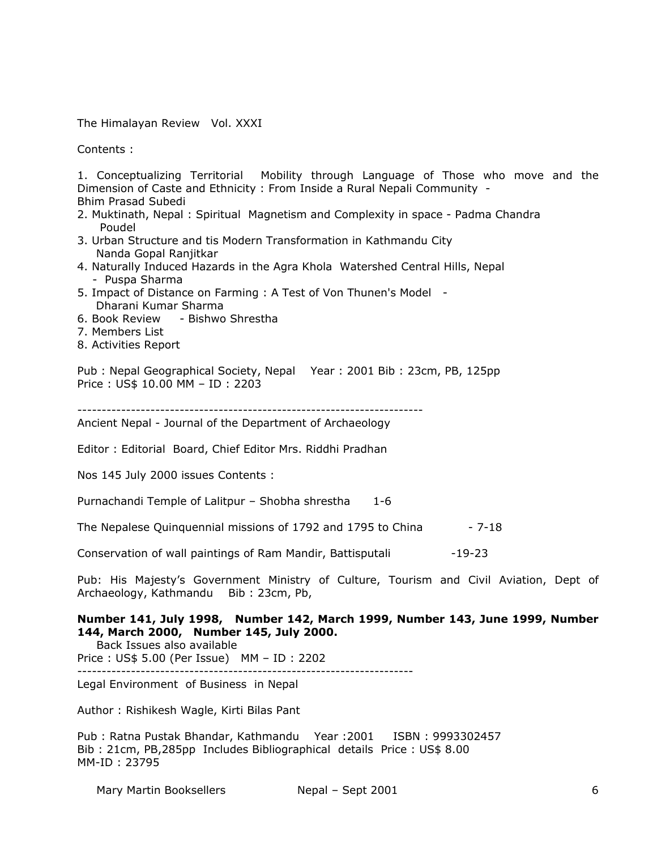The Himalayan Review Vol. XXXI

Contents :

1. Conceptualizing Territorial Mobility through Language of Those who move and the Dimension of Caste and Ethnicity : From Inside a Rural Nepali Community - Bhim Prasad Subedi

- 2. Muktinath, Nepal : Spiritual Magnetism and Complexity in space Padma Chandra Poudel
- 3. Urban Structure and tis Modern Transformation in Kathmandu City Nanda Gopal Ranjitkar
- 4. Naturally Induced Hazards in the Agra Khola Watershed Central Hills, Nepal - Puspa Sharma
- 5. Impact of Distance on Farming : A Test of Von Thunen's Model Dharani Kumar Sharma
- 6. Book Review Bishwo Shrestha
- 7. Members List
- 8. Activities Report

Pub : Nepal Geographical Society, Nepal Year : 2001 Bib : 23cm, PB, 125pp Price : US\$ 10.00 MM – ID : 2203

-----------------------------------------------------------------------

Ancient Nepal - Journal of the Department of Archaeology

Editor : Editorial Board, Chief Editor Mrs. Riddhi Pradhan

Nos 145 July 2000 issues Contents :

Purnachandi Temple of Lalitpur – Shobha shrestha 1-6

The Nepalese Quinquennial missions of 1792 and 1795 to China  $-7-18$ 

Conservation of wall paintings of Ram Mandir, Battisputali -19-23

Pub: His Majesty's Government Ministry of Culture, Tourism and Civil Aviation, Dept of Archaeology, Kathmandu Bib : 23cm, Pb,

## **Number 141, July 1998, Number 142, March 1999, Number 143, June 1999, Number 144, March 2000, Number 145, July 2000.**

Back Issues also available

Price : US\$ 5.00 (Per Issue) MM – ID : 2202

---------------------------------------------------------------------

Legal Environment of Business in Nepal

Author : Rishikesh Wagle, Kirti Bilas Pant

Pub : Ratna Pustak Bhandar, Kathmandu Year :2001 ISBN : 9993302457 Bib : 21cm, PB,285pp Includes Bibliographical details Price : US\$ 8.00 MM-ID : 23795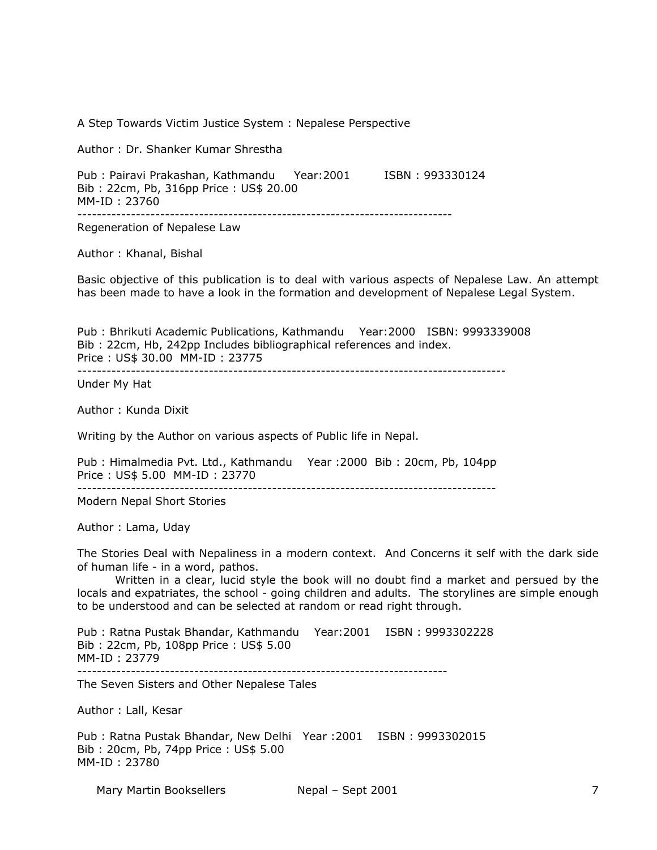Mary Martin Booksellers **Nepal – Sept 2001** 7 A Step Towards Victim Justice System : Nepalese Perspective Author : Dr. Shanker Kumar Shrestha Pub : Pairavi Prakashan, Kathmandu Year:2001 ISBN : 993330124 Bib : 22cm, Pb, 316pp Price : US\$ 20.00 MM-ID : 23760 ----------------------------------------------------------------------------- Regeneration of Nepalese Law Author : Khanal, Bishal Basic objective of this publication is to deal with various aspects of Nepalese Law. An attempt has been made to have a look in the formation and development of Nepalese Legal System. Pub : Bhrikuti Academic Publications, Kathmandu Year:2000 ISBN: 9993339008 Bib : 22cm, Hb, 242pp Includes bibliographical references and index. Price : US\$ 30.00 MM-ID : 23775 ---------------------------------------------------------------------------------------- Under My Hat Author : Kunda Dixit Writing by the Author on various aspects of Public life in Nepal. Pub : Himalmedia Pvt. Ltd., Kathmandu Year :2000 Bib : 20cm, Pb, 104pp Price : US\$ 5.00 MM-ID : 23770 -------------------------------------------------------------------------------------- Modern Nepal Short Stories Author : Lama, Uday The Stories Deal with Nepaliness in a modern context. And Concerns it self with the dark side of human life - in a word, pathos. Written in a clear, lucid style the book will no doubt find a market and persued by the locals and expatriates, the school - going children and adults. The storylines are simple enough to be understood and can be selected at random or read right through. Pub : Ratna Pustak Bhandar, Kathmandu Year:2001 ISBN : 9993302228 Bib : 22cm, Pb, 108pp Price : US\$ 5.00 MM-ID : 23779 ---------------------------------------------------------------------------- The Seven Sisters and Other Nepalese Tales Author : Lall, Kesar Pub : Ratna Pustak Bhandar, New Delhi Year :2001 ISBN : 9993302015 Bib : 20cm, Pb, 74pp Price : US\$ 5.00 MM-ID : 23780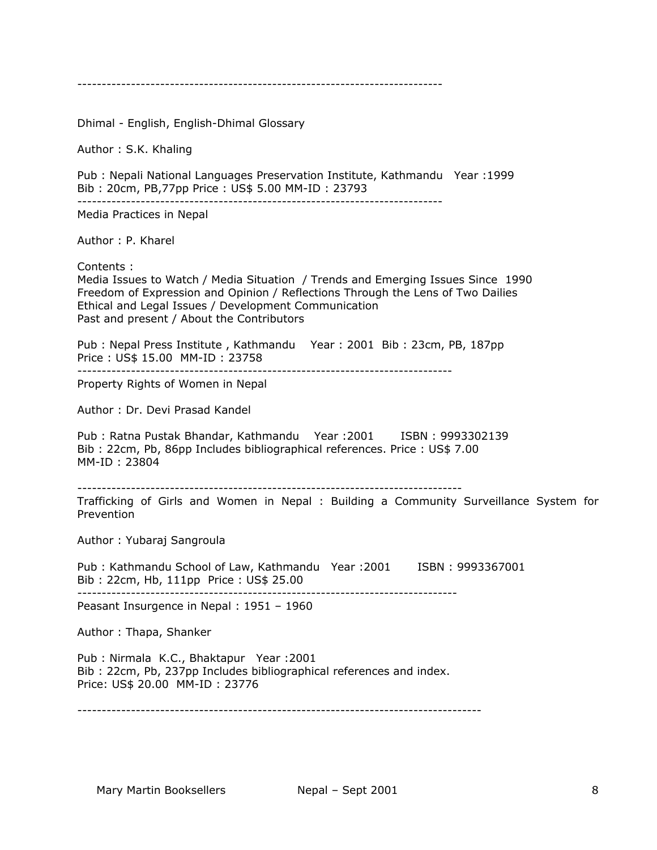---------------------------------------------------------------------------

Dhimal - English, English-Dhimal Glossary

Author : S.K. Khaling

Pub : Nepali National Languages Preservation Institute, Kathmandu Year :1999 Bib : 20cm, PB,77pp Price : US\$ 5.00 MM-ID : 23793 ---------------------------------------------------------------------------

Media Practices in Nepal

Author : P. Kharel

Contents :

Media Issues to Watch / Media Situation / Trends and Emerging Issues Since 1990 Freedom of Expression and Opinion / Reflections Through the Lens of Two Dailies Ethical and Legal Issues / Development Communication Past and present / About the Contributors

Pub : Nepal Press Institute , Kathmandu Year : 2001 Bib : 23cm, PB, 187pp Price : US\$ 15.00 MM-ID : 23758

-----------------------------------------------------------------------------

Property Rights of Women in Nepal

Author : Dr. Devi Prasad Kandel

Pub : Ratna Pustak Bhandar, Kathmandu Year : 2001 ISBN : 9993302139 Bib : 22cm, Pb, 86pp Includes bibliographical references. Price : US\$ 7.00 MM-ID : 23804

-------------------------------------------------------------------------------

Trafficking of Girls and Women in Nepal : Building a Community Surveillance System for Prevention

Author : Yubaraj Sangroula

Pub : Kathmandu School of Law, Kathmandu Year : 2001 ISBN : 9993367001 Bib : 22cm, Hb, 111pp Price : US\$ 25.00 ------------------------------------------------------------------------------

Peasant Insurgence in Nepal : 1951 – 1960

Author : Thapa, Shanker

Pub : Nirmala K.C., Bhaktapur Year :2001 Bib : 22cm, Pb, 237pp Includes bibliographical references and index. Price: US\$ 20.00 MM-ID : 23776

-----------------------------------------------------------------------------------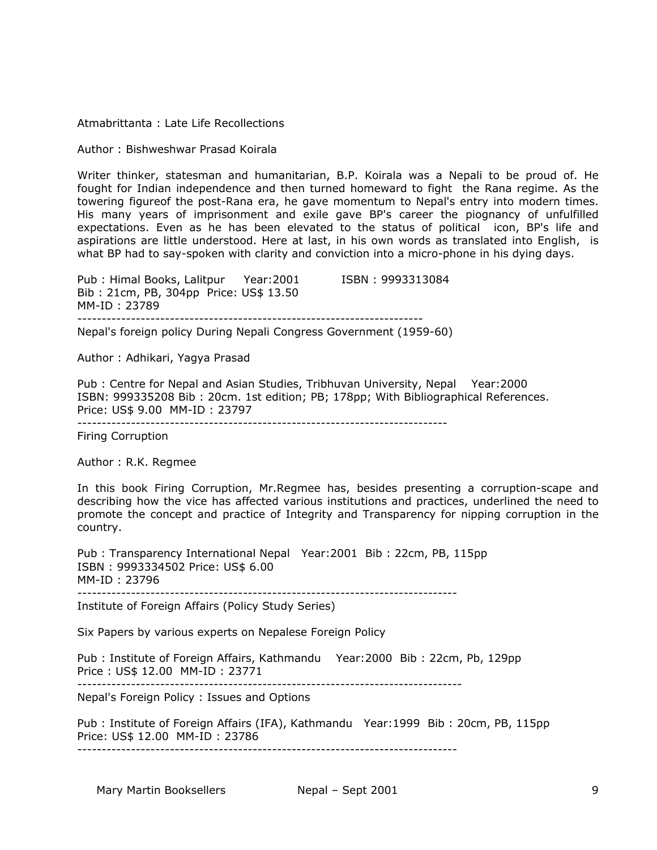Atmabrittanta : Late Life Recollections

Author : Bishweshwar Prasad Koirala

Writer thinker, statesman and humanitarian, B.P. Koirala was a Nepali to be proud of. He fought for Indian independence and then turned homeward to fight the Rana regime. As the towering figureof the post-Rana era, he gave momentum to Nepal's entry into modern times. His many years of imprisonment and exile gave BP's career the piognancy of unfulfilled expectations. Even as he has been elevated to the status of political icon, BP's life and aspirations are little understood. Here at last, in his own words as translated into English, is what BP had to say-spoken with clarity and conviction into a micro-phone in his dying days.

Pub : Himal Books, Lalitpur Year: 2001 ISBN : 9993313084 Bib : 21cm, PB, 304pp Price: US\$ 13.50 MM-ID : 23789 -----------------------------------------------------------------------

Nepal's foreign policy During Nepali Congress Government (1959-60)

Author : Adhikari, Yagya Prasad

Pub : Centre for Nepal and Asian Studies, Tribhuvan University, Nepal Year:2000 ISBN: 999335208 Bib : 20cm. 1st edition; PB; 178pp; With Bibliographical References. Price: US\$ 9.00 MM-ID : 23797

----------------------------------------------------------------------------

Firing Corruption

Author : R.K. Regmee

In this book Firing Corruption, Mr.Regmee has, besides presenting a corruption-scape and describing how the vice has affected various institutions and practices, underlined the need to promote the concept and practice of Integrity and Transparency for nipping corruption in the country.

Pub : Transparency International Nepal Year:2001 Bib : 22cm, PB, 115pp ISBN : 9993334502 Price: US\$ 6.00 MM-ID : 23796 ------------------------------------------------------------------------------

Institute of Foreign Affairs (Policy Study Series)

Six Papers by various experts on Nepalese Foreign Policy

Pub : Institute of Foreign Affairs, Kathmandu Year:2000 Bib : 22cm, Pb, 129pp Price : US\$ 12.00 MM-ID : 23771

-------------------------------------------------------------------------------

Nepal's Foreign Policy : Issues and Options

Pub : Institute of Foreign Affairs (IFA), Kathmandu Year:1999 Bib : 20cm, PB, 115pp Price: US\$ 12.00 MM-ID : 23786

------------------------------------------------------------------------------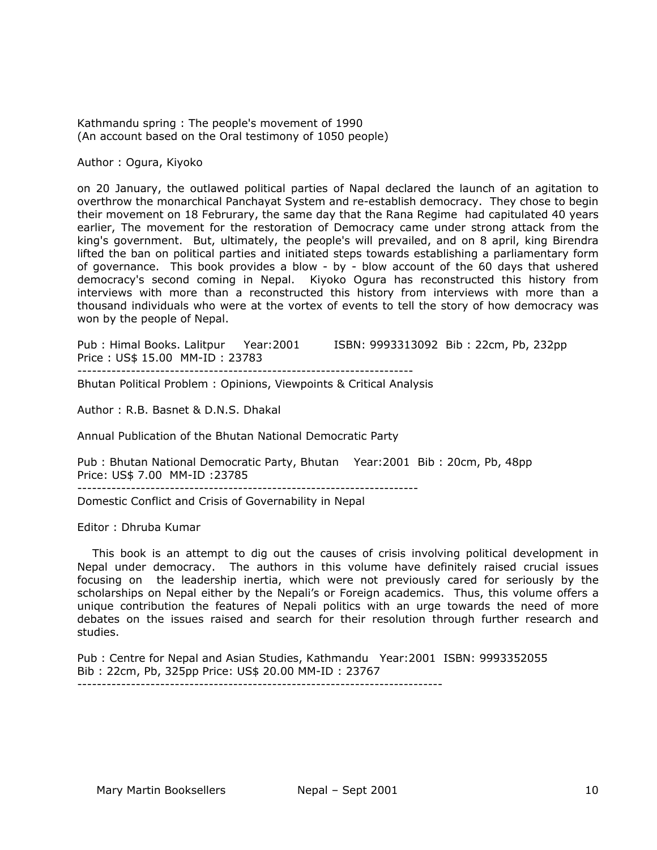Kathmandu spring : The people's movement of 1990 (An account based on the Oral testimony of 1050 people)

Author : Ogura, Kiyoko

on 20 January, the outlawed political parties of Napal declared the launch of an agitation to overthrow the monarchical Panchayat System and re-establish democracy. They chose to begin their movement on 18 Februrary, the same day that the Rana Regime had capitulated 40 years earlier, The movement for the restoration of Democracy came under strong attack from the king's government. But, ultimately, the people's will prevailed, and on 8 april, king Birendra lifted the ban on political parties and initiated steps towards establishing a parliamentary form of governance. This book provides a blow - by - blow account of the 60 days that ushered democracy's second coming in Nepal. Kiyoko Ogura has reconstructed this history from interviews with more than a reconstructed this history from interviews with more than a thousand individuals who were at the vortex of events to tell the story of how democracy was won by the people of Nepal.

Pub : Himal Books. Lalitpur Year:2001 ISBN: 9993313092 Bib : 22cm, Pb, 232pp Price : US\$ 15.00 MM-ID : 23783 ---------------------------------------------------------------------

Bhutan Political Problem : Opinions, Viewpoints & Critical Analysis

Author : R.B. Basnet & D.N.S. Dhakal

Annual Publication of the Bhutan National Democratic Party

Pub : Bhutan National Democratic Party, Bhutan Year:2001 Bib : 20cm, Pb, 48pp Price: US\$ 7.00 MM-ID :23785 ----------------------------------------------------------------------

Domestic Conflict and Crisis of Governability in Nepal

Editor : Dhruba Kumar

 This book is an attempt to dig out the causes of crisis involving political development in Nepal under democracy. The authors in this volume have definitely raised crucial issues focusing on the leadership inertia, which were not previously cared for seriously by the scholarships on Nepal either by the Nepali's or Foreign academics. Thus, this volume offers a unique contribution the features of Nepali politics with an urge towards the need of more debates on the issues raised and search for their resolution through further research and studies.

Pub : Centre for Nepal and Asian Studies, Kathmandu Year:2001 ISBN: 9993352055 Bib : 22cm, Pb, 325pp Price: US\$ 20.00 MM-ID : 23767 ---------------------------------------------------------------------------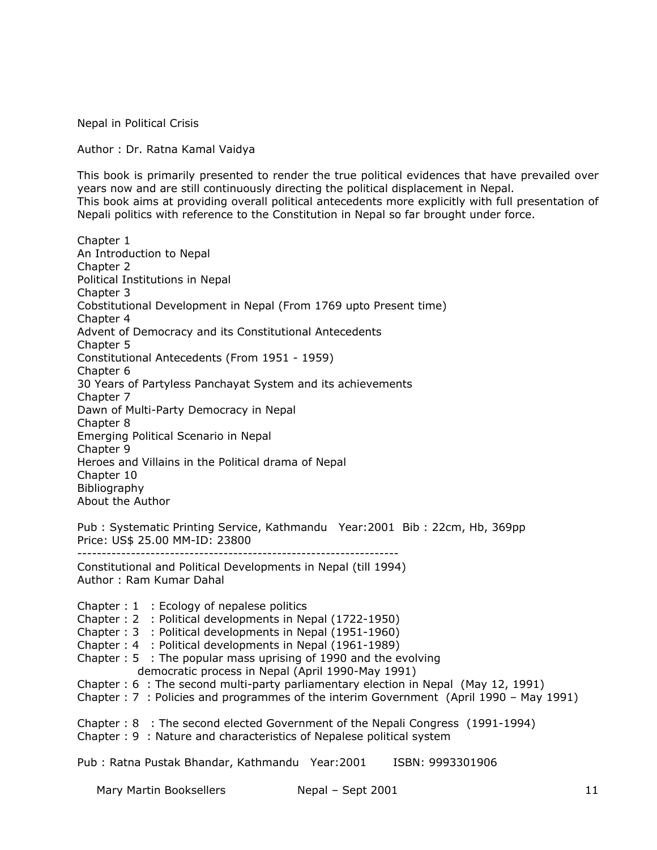Nepal in Political Crisis

Author : Dr. Ratna Kamal Vaidya

This book is primarily presented to render the true political evidences that have prevailed over years now and are still continuously directing the political displacement in Nepal. This book aims at providing overall political antecedents more explicitly with full presentation of Nepali politics with reference to the Constitution in Nepal so far brought under force.

Chapter 1 An Introduction to Nepal Chapter 2 Political Institutions in Nepal Chapter 3 Cobstitutional Development in Nepal (From 1769 upto Present time) Chapter 4 Advent of Democracy and its Constitutional Antecedents Chapter 5 Constitutional Antecedents (From 1951 - 1959) Chapter 6 30 Years of Partyless Panchayat System and its achievements Chapter 7 Dawn of Multi-Party Democracy in Nepal Chapter 8 Emerging Political Scenario in Nepal Chapter 9 Heroes and Villains in the Political drama of Nepal Chapter 10 Bibliography About the Author Pub : Systematic Printing Service, Kathmandu Year:2001 Bib : 22cm, Hb, 369pp Price: US\$ 25.00 MM-ID: 23800 ------------------------------------------------------------------ Constitutional and Political Developments in Nepal (till 1994) Author : Ram Kumar Dahal Chapter : 1 : Ecology of nepalese politics Chapter : 2 : Political developments in Nepal (1722-1950) Chapter : 3 : Political developments in Nepal (1951-1960)

Chapter : 4 : Political developments in Nepal (1961-1989)

Chapter : 5 : The popular mass uprising of 1990 and the evolving democratic process in Nepal (April 1990-May 1991)

Chapter : 6 : The second multi-party parliamentary election in Nepal (May 12, 1991)

Chapter : 7 : Policies and programmes of the interim Government (April 1990 – May 1991)

Chapter : 8 : The second elected Government of the Nepali Congress (1991-1994)

Chapter : 9 : Nature and characteristics of Nepalese political system

Pub : Ratna Pustak Bhandar, Kathmandu Year:2001 ISBN: 9993301906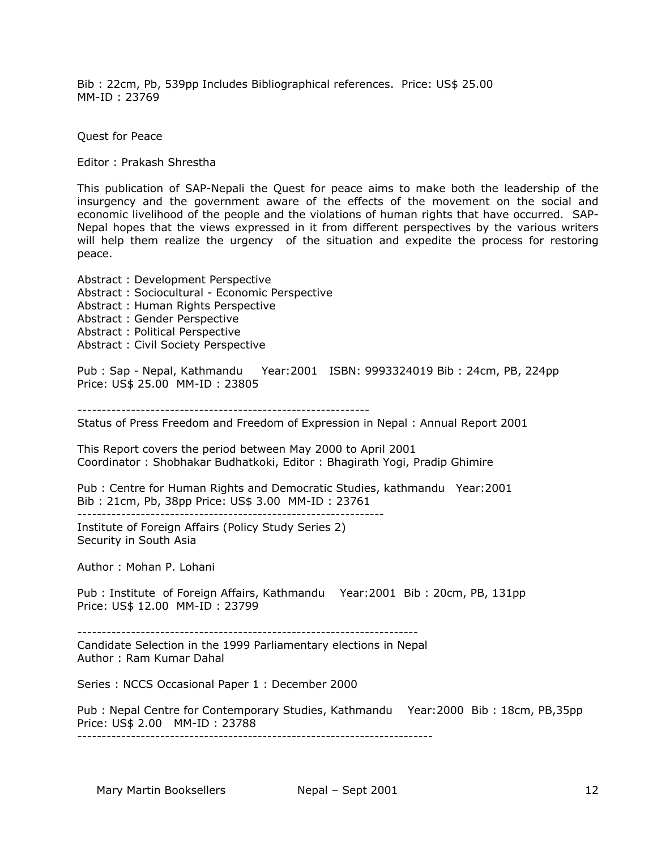Bib : 22cm, Pb, 539pp Includes Bibliographical references. Price: US\$ 25.00 MM-ID : 23769

Quest for Peace

Editor : Prakash Shrestha

This publication of SAP-Nepali the Quest for peace aims to make both the leadership of the insurgency and the government aware of the effects of the movement on the social and economic livelihood of the people and the violations of human rights that have occurred. SAP-Nepal hopes that the views expressed in it from different perspectives by the various writers will help them realize the urgency of the situation and expedite the process for restoring peace.

Abstract : Development Perspective Abstract : Sociocultural - Economic Perspective Abstract : Human Rights Perspective Abstract : Gender Perspective Abstract : Political Perspective Abstract : Civil Society Perspective

Pub : Sap - Nepal, Kathmandu Year:2001 ISBN: 9993324019 Bib : 24cm, PB, 224pp Price: US\$ 25.00 MM-ID : 23805

------------------------------------------------------------

Status of Press Freedom and Freedom of Expression in Nepal : Annual Report 2001

This Report covers the period between May 2000 to April 2001 Coordinator : Shobhakar Budhatkoki, Editor : Bhagirath Yogi, Pradip Ghimire

Pub : Centre for Human Rights and Democratic Studies, kathmandu Year:2001 Bib : 21cm, Pb, 38pp Price: US\$ 3.00 MM-ID : 23761

---------------------------------------------------------------

Institute of Foreign Affairs (Policy Study Series 2) Security in South Asia

Author : Mohan P. Lohani

Pub : Institute of Foreign Affairs, Kathmandu Year:2001 Bib : 20cm, PB, 131pp Price: US\$ 12.00 MM-ID : 23799

----------------------------------------------------------------------

Candidate Selection in the 1999 Parliamentary elections in Nepal Author : Ram Kumar Dahal

Series : NCCS Occasional Paper 1 : December 2000

Pub : Nepal Centre for Contemporary Studies, Kathmandu Year:2000 Bib : 18cm, PB,35pp Price: US\$ 2.00 MM-ID : 23788 -------------------------------------------------------------------------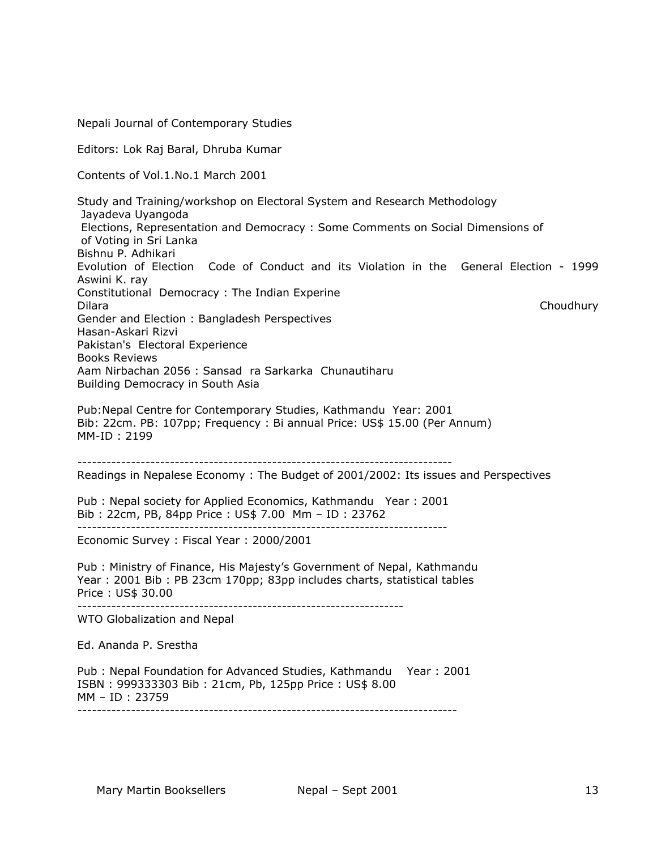Nepali Journal of Contemporary Studies Editors: Lok Raj Baral, Dhruba Kumar Contents of Vol.1.No.1 March 2001 Study and Training/workshop on Electoral System and Research Methodology Jayadeva Uyangoda Elections, Representation and Democracy : Some Comments on Social Dimensions of of Voting in Sri Lanka Bishnu P. Adhikari Evolution of Election Code of Conduct and its Violation in the General Election - 1999 Aswini K. ray Constitutional Democracy : The Indian Experine Dilara Choudhury Gender and Election : Bangladesh Perspectives Hasan-Askari Rizvi Pakistan's Electoral Experience Books Reviews Aam Nirbachan 2056 : Sansad ra Sarkarka Chunautiharu Building Democracy in South Asia Pub:Nepal Centre for Contemporary Studies, Kathmandu Year: 2001 Bib: 22cm. PB: 107pp; Frequency : Bi annual Price: US\$ 15.00 (Per Annum) MM-ID : 2199 ----------------------------------------------------------------------------- Readings in Nepalese Economy : The Budget of 2001/2002: Its issues and Perspectives Pub : Nepal society for Applied Economics, Kathmandu Year : 2001 Bib : 22cm, PB, 84pp Price : US\$ 7.00 Mm – ID : 23762 ---------------------------------------------------------------------------- Economic Survey : Fiscal Year : 2000/2001 Pub : Ministry of Finance, His Majesty's Government of Nepal, Kathmandu Year : 2001 Bib : PB 23cm 170pp; 83pp includes charts, statistical tables Price : US\$ 30.00 ------------------------------------------------------------------- WTO Globalization and Nepal Ed. Ananda P. Srestha Pub : Nepal Foundation for Advanced Studies, Kathmandu Year : 2001 ISBN : 999333303 Bib : 21cm, Pb, 125pp Price : US\$ 8.00 MM – ID : 23759 ------------------------------------------------------------------------------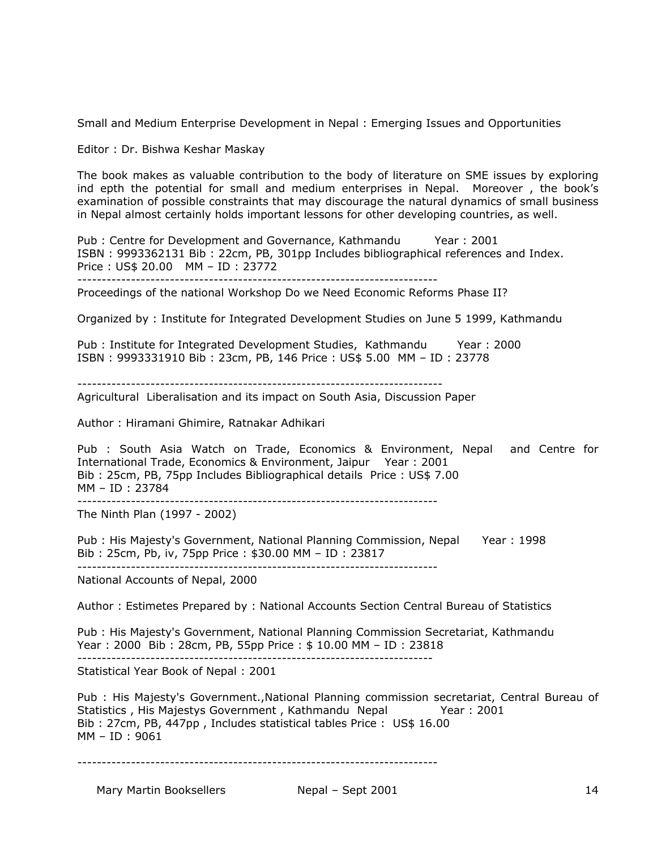Small and Medium Enterprise Development in Nepal : Emerging Issues and Opportunities

Editor : Dr. Bishwa Keshar Maskay

The book makes as valuable contribution to the body of literature on SME issues by exploring ind epth the potential for small and medium enterprises in Nepal. Moreover , the book's examination of possible constraints that may discourage the natural dynamics of small business in Nepal almost certainly holds important lessons for other developing countries, as well.

Pub : Centre for Development and Governance, Kathmandu Year : 2001 ISBN : 9993362131 Bib : 22cm, PB, 301pp Includes bibliographical references and Index. Price : US\$ 20.00 MM – ID : 23772 --------------------------------------------------------------------------

Proceedings of the national Workshop Do we Need Economic Reforms Phase II?

Organized by : Institute for Integrated Development Studies on June 5 1999, Kathmandu

Pub : Institute for Integrated Development Studies, Kathmandu Year : 2000 ISBN : 9993331910 Bib : 23cm, PB, 146 Price : US\$ 5.00 MM – ID : 23778

---------------------------------------------------------------------------

Agricultural Liberalisation and its impact on South Asia, Discussion Paper

Author : Hiramani Ghimire, Ratnakar Adhikari

Pub : South Asia Watch on Trade, Economics & Environment, Nepal and Centre for International Trade, Economics & Environment, Jaipur Year : 2001 Bib : 25cm, PB, 75pp Includes Bibliographical details Price : US\$ 7.00 MM – ID : 23784

--------------------------------------------------------------------------

The Ninth Plan (1997 - 2002)

Pub : His Majesty's Government, National Planning Commission, Nepal Year : 1998 Bib : 25cm, Pb, iv, 75pp Price : \$30.00 MM – ID : 23817

National Accounts of Nepal, 2000

Author : Estimetes Prepared by : National Accounts Section Central Bureau of Statistics

Pub : His Majesty's Government, National Planning Commission Secretariat, Kathmandu Year : 2000 Bib : 28cm, PB, 55pp Price : \$ 10.00 MM – ID : 23818 -------------------------------------------------------------------------

Statistical Year Book of Nepal : 2001

Pub : His Majesty's Government.,National Planning commission secretariat, Central Bureau of Statistics, His Majestys Government, Kathmandu Nepal Year: 2001 Bib : 27cm, PB, 447pp , Includes statistical tables Price : US\$ 16.00 MM – ID : 9061

--------------------------------------------------------------------------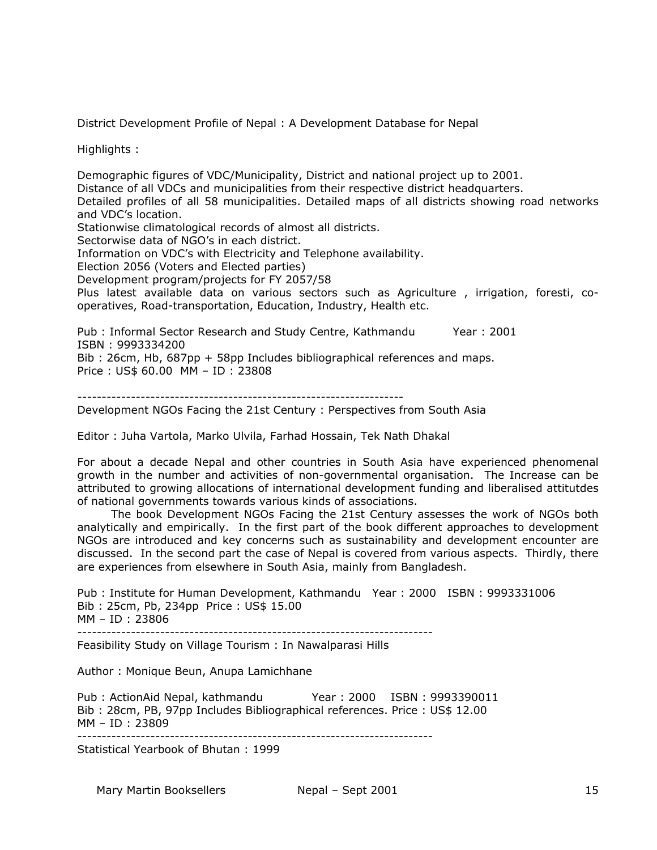District Development Profile of Nepal : A Development Database for Nepal

Highlights :

Demographic figures of VDC/Municipality, District and national project up to 2001. Distance of all VDCs and municipalities from their respective district headquarters. Detailed profiles of all 58 municipalities. Detailed maps of all districts showing road networks and VDC's location. Stationwise climatological records of almost all districts. Sectorwise data of NGO's in each district. Information on VDC's with Electricity and Telephone availability. Election 2056 (Voters and Elected parties) Development program/projects for FY 2057/58 Plus latest available data on various sectors such as Agriculture , irrigation, foresti, cooperatives, Road-transportation, Education, Industry, Health etc.

Pub : Informal Sector Research and Study Centre, Kathmandu Year : 2001 ISBN : 9993334200 Bib : 26cm, Hb, 687pp + 58pp Includes bibliographical references and maps. Price : US\$ 60.00 MM – ID : 23808

-------------------------------------------------------------------

Development NGOs Facing the 21st Century : Perspectives from South Asia

Editor : Juha Vartola, Marko Ulvila, Farhad Hossain, Tek Nath Dhakal

For about a decade Nepal and other countries in South Asia have experienced phenomenal growth in the number and activities of non-governmental organisation. The Increase can be attributed to growing allocations of international development funding and liberalised attitutdes of national governments towards various kinds of associations.

 The book Development NGOs Facing the 21st Century assesses the work of NGOs both analytically and empirically. In the first part of the book different approaches to development NGOs are introduced and key concerns such as sustainability and development encounter are discussed. In the second part the case of Nepal is covered from various aspects. Thirdly, there are experiences from elsewhere in South Asia, mainly from Bangladesh.

Pub : Institute for Human Development, Kathmandu Year : 2000 ISBN : 9993331006 Bib : 25cm, Pb, 234pp Price : US\$ 15.00 MM – ID : 23806 -------------------------------------------------------------------------

Feasibility Study on Village Tourism : In Nawalparasi Hills

Author : Monique Beun, Anupa Lamichhane

Pub : ActionAid Nepal, kathmandu Year : 2000 ISBN : 9993390011 Bib : 28cm, PB, 97pp Includes Bibliographical references. Price : US\$ 12.00 MM – ID : 23809

-------------------------------------------------------------------------

Statistical Yearbook of Bhutan : 1999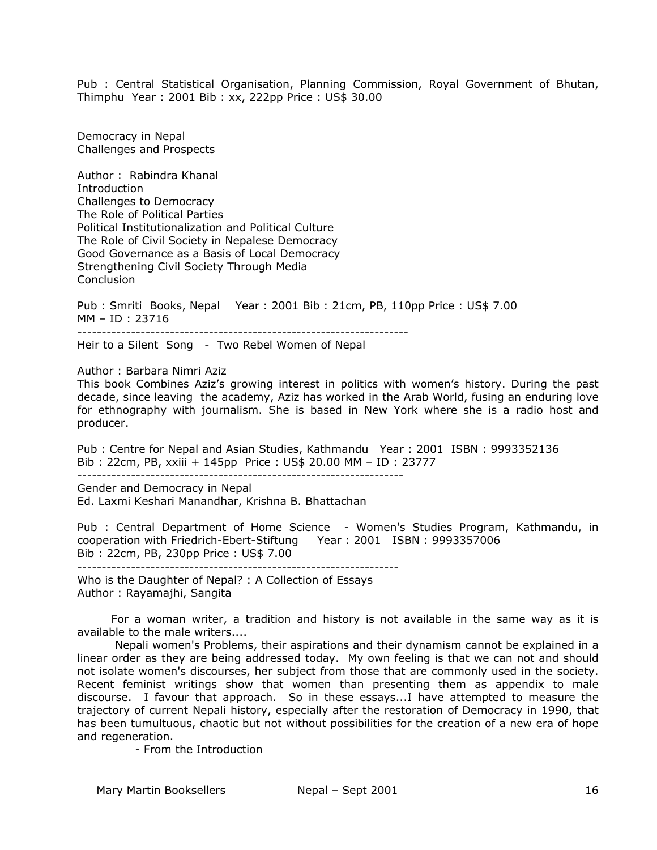Pub : Central Statistical Organisation, Planning Commission, Royal Government of Bhutan, Thimphu Year : 2001 Bib : xx, 222pp Price : US\$ 30.00

Democracy in Nepal Challenges and Prospects

Author : Rabindra Khanal **Introduction** Challenges to Democracy The Role of Political Parties Political Institutionalization and Political Culture The Role of Civil Society in Nepalese Democracy Good Governance as a Basis of Local Democracy Strengthening Civil Society Through Media **Conclusion** 

Pub : Smriti Books, Nepal Year : 2001 Bib : 21cm, PB, 110pp Price : US\$ 7.00 MM – ID : 23716 --------------------------------------------------------------------

Heir to a Silent Song - Two Rebel Women of Nepal

Author : Barbara Nimri Aziz

This book Combines Aziz's growing interest in politics with women's history. During the past decade, since leaving the academy, Aziz has worked in the Arab World, fusing an enduring love for ethnography with journalism. She is based in New York where she is a radio host and producer.

Pub : Centre for Nepal and Asian Studies, Kathmandu Year : 2001 ISBN : 9993352136 Bib : 22cm, PB, xxiii + 145pp Price : US\$ 20.00 MM – ID : 23777

-------------------------------------------------------------------

Gender and Democracy in Nepal Ed. Laxmi Keshari Manandhar, Krishna B. Bhattachan

Pub : Central Department of Home Science - Women's Studies Program, Kathmandu, in cooperation with Friedrich-Ebert-Stiftung Year : 2001 ISBN : 9993357006 Bib : 22cm, PB, 230pp Price : US\$ 7.00

------------------------------------------------------------------ Who is the Daughter of Nepal? : A Collection of Essays Author : Rayamajhi, Sangita

 For a woman writer, a tradition and history is not available in the same way as it is available to the male writers....

 Nepali women's Problems, their aspirations and their dynamism cannot be explained in a linear order as they are being addressed today. My own feeling is that we can not and should not isolate women's discourses, her subject from those that are commonly used in the society. Recent feminist writings show that women than presenting them as appendix to male discourse. I favour that approach. So in these essays...I have attempted to measure the trajectory of current Nepali history, especially after the restoration of Democracy in 1990, that has been tumultuous, chaotic but not without possibilities for the creation of a new era of hope and regeneration.

- From the Introduction